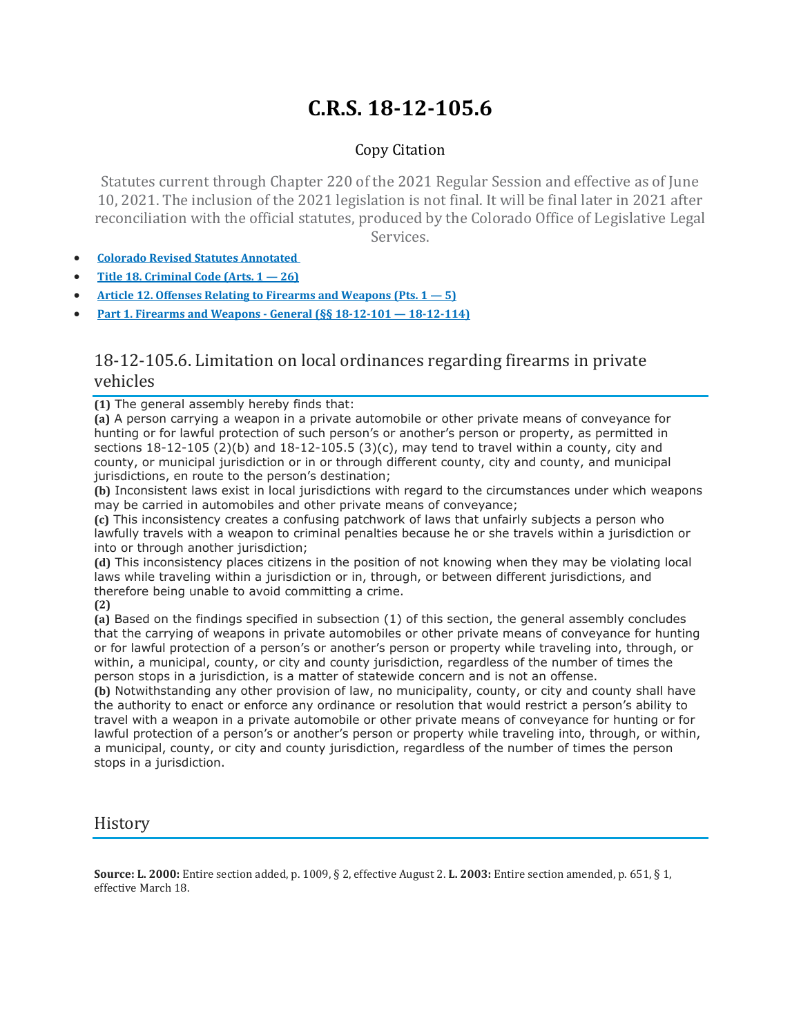# **C.R.S. 18-12-105.6**

## Copy Citation

Statutes current through Chapter 220 of the 2021 Regular Session and effective as of June 10, 2021. The inclusion of the 2021 legislation is not final. It will be final later in 2021 after reconciliation with the official statutes, produced by the Colorado Office of Legislative Legal Services.

- **Colorado Revised Statutes [Annotated](https://advance.lexis.com/documentpage/?pdmfid=1000516&crid=8cb97805-6688-4cca-af14-91813ff61990&pdistocdocslideraccess=true&config=014FJAAyNGJkY2Y4Zi1mNjgyLTRkN2YtYmE4OS03NTYzNzYzOTg0OGEKAFBvZENhdGFsb2d592qv2Kywlf8caKqYROP5&pddocfullpath=%2Fshared%2Fdocument%2Fstatutes-legislation%2Furn%3AcontentItem%3A61P5-WSW1-DYDC-J3CC-00008-00&pdcomponentid=234177&pdtocnodeidentifier=AASAAWAABAAK&ecomp=sssdkkk&prid=f33a9fb0-cfbb-496e-adf6-0fb0feba86d5)**
- **Title 18. [Criminal](https://advance.lexis.com/documentpage/?pdmfid=1000516&crid=8cb97805-6688-4cca-af14-91813ff61990&pdistocdocslideraccess=true&config=014FJAAyNGJkY2Y4Zi1mNjgyLTRkN2YtYmE4OS03NTYzNzYzOTg0OGEKAFBvZENhdGFsb2d592qv2Kywlf8caKqYROP5&pddocfullpath=%2Fshared%2Fdocument%2Fstatutes-legislation%2Furn%3AcontentItem%3A61P5-WSW1-DYDC-J3CC-00008-00&pdcomponentid=234177&pdtocnodeidentifier=AASAAWAABAAK&ecomp=sssdkkk&prid=f33a9fb0-cfbb-496e-adf6-0fb0feba86d5) Code (Arts. 1 — 26)**
- **Article 12. Offenses Relating to Firearms and [Weapons](https://advance.lexis.com/documentpage/?pdmfid=1000516&crid=8cb97805-6688-4cca-af14-91813ff61990&pdistocdocslideraccess=true&config=014FJAAyNGJkY2Y4Zi1mNjgyLTRkN2YtYmE4OS03NTYzNzYzOTg0OGEKAFBvZENhdGFsb2d592qv2Kywlf8caKqYROP5&pddocfullpath=%2Fshared%2Fdocument%2Fstatutes-legislation%2Furn%3AcontentItem%3A61P5-WSW1-DYDC-J3CC-00008-00&pdcomponentid=234177&pdtocnodeidentifier=AASAAWAABAAK&ecomp=sssdkkk&prid=f33a9fb0-cfbb-496e-adf6-0fb0feba86d5) (Pts. 1 — 5)**
- **Part 1. Firearms and Weapons - General (§§ 18-12-101 — [18-12-114\)](https://advance.lexis.com/documentpage/?pdmfid=1000516&crid=8cb97805-6688-4cca-af14-91813ff61990&pdistocdocslideraccess=true&config=014FJAAyNGJkY2Y4Zi1mNjgyLTRkN2YtYmE4OS03NTYzNzYzOTg0OGEKAFBvZENhdGFsb2d592qv2Kywlf8caKqYROP5&pddocfullpath=%2Fshared%2Fdocument%2Fstatutes-legislation%2Furn%3AcontentItem%3A61P5-WSW1-DYDC-J3CC-00008-00&pdcomponentid=234177&pdtocnodeidentifier=AASAAWAABAAK&ecomp=sssdkkk&prid=f33a9fb0-cfbb-496e-adf6-0fb0feba86d5)**

## 18-12-105.6. Limitation on local ordinances regarding firearms in private vehicles

**(1)** The general assembly hereby finds that:

**(a)** A person carrying a weapon in a private automobile or other private means of conveyance for hunting or for lawful protection of such person's or another's person or property, as permitted in sections  $18-12-105$  (2)(b) and  $18-12-105.5$  (3)(c), may tend to travel within a county, city and county, or municipal jurisdiction or in or through different county, city and county, and municipal jurisdictions, en route to the person's destination;

**(b)** Inconsistent laws exist in local jurisdictions with regard to the circumstances under which weapons may be carried in automobiles and other private means of conveyance;

**(c)** This inconsistency creates a confusing patchwork of laws that unfairly subjects a person who lawfully travels with a weapon to criminal penalties because he or she travels within a jurisdiction or into or through another jurisdiction;

**(d)** This inconsistency places citizens in the position of not knowing when they may be violating local laws while traveling within a jurisdiction or in, through, or between different jurisdictions, and therefore being unable to avoid committing a crime.

**(2)**

**(a)** Based on the findings specified in subsection (1) of this section, the general assembly concludes that the carrying of weapons in private automobiles or other private means of conveyance for hunting or for lawful protection of a person's or another's person or property while traveling into, through, or within, a municipal, county, or city and county jurisdiction, regardless of the number of times the person stops in a jurisdiction, is a matter of statewide concern and is not an offense.

**(b)** Notwithstanding any other provision of law, no municipality, county, or city and county shall have the authority to enact or enforce any ordinance or resolution that would restrict a person's ability to travel with a weapon in a private automobile or other private means of conveyance for hunting or for lawful protection of a person's or another's person or property while traveling into, through, or within, a municipal, county, or city and county jurisdiction, regardless of the number of times the person stops in a jurisdiction.

### **History**

**Source: L. 2000:** Entire section added, p. 1009, § 2, effective August 2. **L. 2003:** Entire section amended, p. 651, § 1, effective March 18.